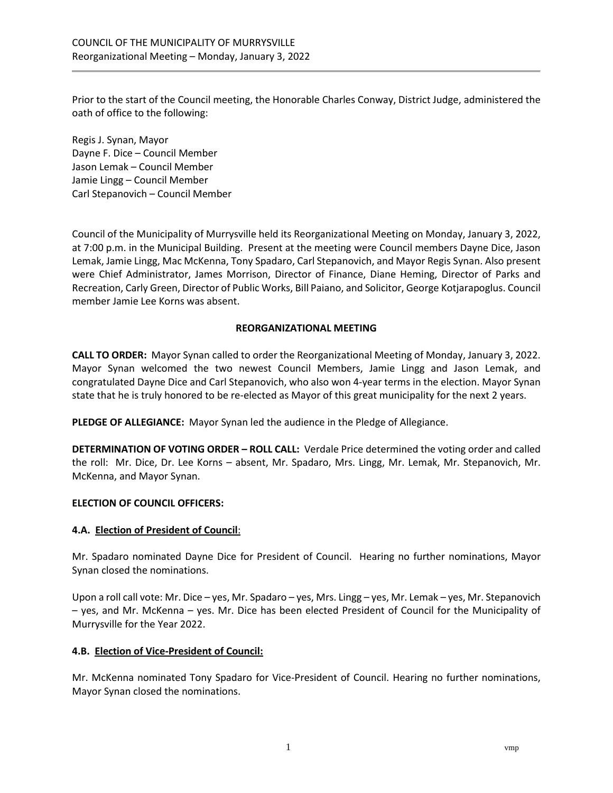Prior to the start of the Council meeting, the Honorable Charles Conway, District Judge, administered the oath of office to the following:

Regis J. Synan, Mayor Dayne F. Dice – Council Member Jason Lemak – Council Member Jamie Lingg – Council Member Carl Stepanovich – Council Member

Council of the Municipality of Murrysville held its Reorganizational Meeting on Monday, January 3, 2022, at 7:00 p.m. in the Municipal Building. Present at the meeting were Council members Dayne Dice, Jason Lemak, Jamie Lingg, Mac McKenna, Tony Spadaro, Carl Stepanovich, and Mayor Regis Synan. Also present were Chief Administrator, James Morrison, Director of Finance, Diane Heming, Director of Parks and Recreation, Carly Green, Director of Public Works, Bill Paiano, and Solicitor, George Kotjarapoglus. Council member Jamie Lee Korns was absent.

## **REORGANIZATIONAL MEETING**

**CALL TO ORDER:** Mayor Synan called to order the Reorganizational Meeting of Monday, January 3, 2022. Mayor Synan welcomed the two newest Council Members, Jamie Lingg and Jason Lemak, and congratulated Dayne Dice and Carl Stepanovich, who also won 4-year terms in the election. Mayor Synan state that he is truly honored to be re-elected as Mayor of this great municipality for the next 2 years.

**PLEDGE OF ALLEGIANCE:** Mayor Synan led the audience in the Pledge of Allegiance.

**DETERMINATION OF VOTING ORDER – ROLL CALL:** Verdale Price determined the voting order and called the roll: Mr. Dice, Dr. Lee Korns – absent, Mr. Spadaro, Mrs. Lingg, Mr. Lemak, Mr. Stepanovich, Mr. McKenna, and Mayor Synan.

#### **ELECTION OF COUNCIL OFFICERS:**

#### **4.A. Election of President of Council**:

Mr. Spadaro nominated Dayne Dice for President of Council. Hearing no further nominations, Mayor Synan closed the nominations.

Upon a roll call vote: Mr. Dice – yes, Mr. Spadaro – yes, Mrs. Lingg – yes, Mr. Lemak – yes, Mr. Stepanovich – yes, and Mr. McKenna – yes. Mr. Dice has been elected President of Council for the Municipality of Murrysville for the Year 2022.

## **4.B. Election of Vice-President of Council:**

Mr. McKenna nominated Tony Spadaro for Vice-President of Council. Hearing no further nominations, Mayor Synan closed the nominations.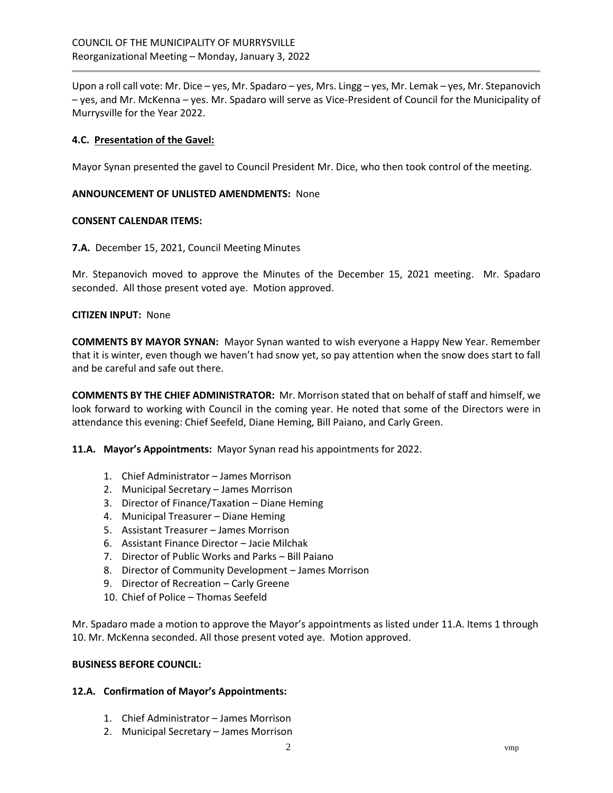Upon a roll call vote: Mr. Dice – yes, Mr. Spadaro – yes, Mrs. Lingg – yes, Mr. Lemak – yes, Mr. Stepanovich – yes, and Mr. McKenna – yes. Mr. Spadaro will serve as Vice-President of Council for the Municipality of Murrysville for the Year 2022.

### **4.C. Presentation of the Gavel:**

Mayor Synan presented the gavel to Council President Mr. Dice, who then took control of the meeting.

### **ANNOUNCEMENT OF UNLISTED AMENDMENTS:** None

### **CONSENT CALENDAR ITEMS:**

**7.A.** December 15, 2021, Council Meeting Minutes

Mr. Stepanovich moved to approve the Minutes of the December 15, 2021 meeting. Mr. Spadaro seconded. All those present voted aye. Motion approved.

#### **CITIZEN INPUT:** None

**COMMENTS BY MAYOR SYNAN:** Mayor Synan wanted to wish everyone a Happy New Year. Remember that it is winter, even though we haven't had snow yet, so pay attention when the snow does start to fall and be careful and safe out there.

**COMMENTS BY THE CHIEF ADMINISTRATOR:** Mr. Morrison stated that on behalf of staff and himself, we look forward to working with Council in the coming year. He noted that some of the Directors were in attendance this evening: Chief Seefeld, Diane Heming, Bill Paiano, and Carly Green.

**11.A. Mayor's Appointments:** Mayor Synan read his appointments for 2022.

- 1. Chief Administrator James Morrison
- 2. Municipal Secretary James Morrison
- 3. Director of Finance/Taxation Diane Heming
- 4. Municipal Treasurer Diane Heming
- 5. Assistant Treasurer James Morrison
- 6. Assistant Finance Director Jacie Milchak
- 7. Director of Public Works and Parks Bill Paiano
- 8. Director of Community Development James Morrison
- 9. Director of Recreation Carly Greene
- 10. Chief of Police Thomas Seefeld

Mr. Spadaro made a motion to approve the Mayor's appointments as listed under 11.A. Items 1 through 10. Mr. McKenna seconded. All those present voted aye. Motion approved.

#### **BUSINESS BEFORE COUNCIL:**

#### **12.A. Confirmation of Mayor's Appointments:**

- 1. Chief Administrator James Morrison
- 2. Municipal Secretary James Morrison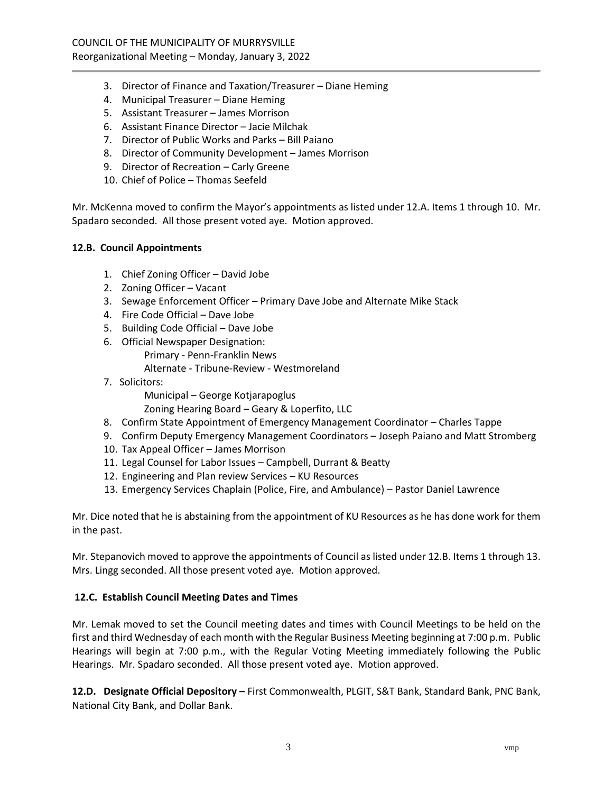- 3. Director of Finance and Taxation/Treasurer Diane Heming
- 4. Municipal Treasurer Diane Heming
- 5. Assistant Treasurer James Morrison
- 6. Assistant Finance Director Jacie Milchak
- 7. Director of Public Works and Parks Bill Paiano
- 8. Director of Community Development James Morrison
- 9. Director of Recreation Carly Greene
- 10. Chief of Police Thomas Seefeld

Mr. McKenna moved to confirm the Mayor's appointments as listed under 12.A. Items 1 through 10. Mr. Spadaro seconded. All those present voted aye. Motion approved.

## **12.B. Council Appointments**

- 1. Chief Zoning Officer David Jobe
- 2. Zoning Officer Vacant
- 3. Sewage Enforcement Officer Primary Dave Jobe and Alternate Mike Stack
- 4. Fire Code Official Dave Jobe
- 5. Building Code Official Dave Jobe
- 6. Official Newspaper Designation: Primary - Penn-Franklin News Alternate - Tribune-Review - Westmoreland
- 7. Solicitors:

Municipal – George Kotjarapoglus

Zoning Hearing Board – Geary & Loperfito, LLC

- 8. Confirm State Appointment of Emergency Management Coordinator Charles Tappe
- 9. Confirm Deputy Emergency Management Coordinators Joseph Paiano and Matt Stromberg
- 10. Tax Appeal Officer James Morrison
- 11. Legal Counsel for Labor Issues Campbell, Durrant & Beatty
- 12. Engineering and Plan review Services KU Resources
- 13. Emergency Services Chaplain (Police, Fire, and Ambulance) Pastor Daniel Lawrence

Mr. Dice noted that he is abstaining from the appointment of KU Resources as he has done work for them in the past.

Mr. Stepanovich moved to approve the appointments of Council as listed under 12.B. Items 1 through 13. Mrs. Lingg seconded. All those present voted aye. Motion approved.

## **12.C. Establish Council Meeting Dates and Times**

Mr. Lemak moved to set the Council meeting dates and times with Council Meetings to be held on the first and third Wednesday of each month with the Regular Business Meeting beginning at 7:00 p.m. Public Hearings will begin at 7:00 p.m., with the Regular Voting Meeting immediately following the Public Hearings. Mr. Spadaro seconded. All those present voted aye. Motion approved.

**12.D. Designate Official Depository –** First Commonwealth, PLGIT, S&T Bank, Standard Bank, PNC Bank, National City Bank, and Dollar Bank.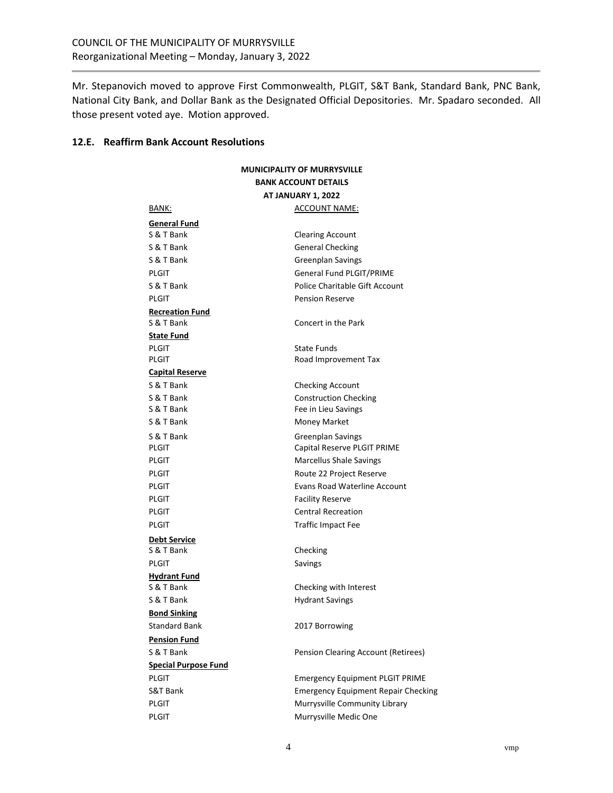Mr. Stepanovich moved to approve First Commonwealth, PLGIT, S&T Bank, Standard Bank, PNC Bank, National City Bank, and Dollar Bank as the Designated Official Depositories. Mr. Spadaro seconded. All those present voted aye. Motion approved.

#### **12.E. Reaffirm Bank Account Resolutions**

| <b>MUNICIPALITY OF MURRYSVILLE</b><br><b>BANK ACCOUNT DETAILS</b><br><b>AT JANUARY 1, 2022</b> |                                            |                     |                      |
|------------------------------------------------------------------------------------------------|--------------------------------------------|---------------------|----------------------|
|                                                                                                |                                            | BANK:               | <u>ACCOUNT NAME:</u> |
|                                                                                                |                                            | <b>General Fund</b> |                      |
| S & T Bank                                                                                     | <b>Clearing Account</b>                    |                     |                      |
| S & T Bank                                                                                     | <b>General Checking</b>                    |                     |                      |
| S & T Bank                                                                                     | <b>Greenplan Savings</b>                   |                     |                      |
| <b>PLGIT</b>                                                                                   | General Fund PLGIT/PRIME                   |                     |                      |
| S & T Bank                                                                                     | Police Charitable Gift Account             |                     |                      |
| <b>PLGIT</b>                                                                                   | <b>Pension Reserve</b>                     |                     |                      |
| <b>Recreation Fund</b>                                                                         |                                            |                     |                      |
| S & T Bank                                                                                     | Concert in the Park                        |                     |                      |
| <b>State Fund</b>                                                                              |                                            |                     |                      |
| <b>PLGIT</b>                                                                                   | State Funds                                |                     |                      |
| PLGIT                                                                                          | Road Improvement Tax                       |                     |                      |
| <b>Capital Reserve</b>                                                                         |                                            |                     |                      |
| S & T Bank                                                                                     | <b>Checking Account</b>                    |                     |                      |
| S & T Bank                                                                                     | <b>Construction Checking</b>               |                     |                      |
| S & T Bank                                                                                     | Fee in Lieu Savings                        |                     |                      |
| S & T Bank                                                                                     | <b>Money Market</b>                        |                     |                      |
| S & T Bank                                                                                     | <b>Greenplan Savings</b>                   |                     |                      |
| PLGIT                                                                                          | Capital Reserve PLGIT PRIME                |                     |                      |
| PLGIT                                                                                          | <b>Marcellus Shale Savings</b>             |                     |                      |
| PLGIT                                                                                          | Route 22 Project Reserve                   |                     |                      |
| PLGIT                                                                                          | <b>Evans Road Waterline Account</b>        |                     |                      |
| PLGIT                                                                                          | <b>Facility Reserve</b>                    |                     |                      |
| PLGIT                                                                                          | <b>Central Recreation</b>                  |                     |                      |
| PLGIT                                                                                          | Traffic Impact Fee                         |                     |                      |
| <b>Debt Service</b>                                                                            |                                            |                     |                      |
| S & T Bank                                                                                     | Checking                                   |                     |                      |
| <b>PLGIT</b>                                                                                   | Savings                                    |                     |                      |
| <b>Hydrant Fund</b><br>S & T Bank                                                              |                                            |                     |                      |
| S & T Bank                                                                                     | Checking with Interest                     |                     |                      |
| <b>Bond Sinking</b>                                                                            | <b>Hydrant Savings</b>                     |                     |                      |
| Standard Bank                                                                                  |                                            |                     |                      |
|                                                                                                | 2017 Borrowing                             |                     |                      |
| <b>Pension Fund</b>                                                                            |                                            |                     |                      |
| S & T Bank                                                                                     | Pension Clearing Account (Retirees)        |                     |                      |
| <b>Special Purpose Fund</b>                                                                    |                                            |                     |                      |
| <b>PLGIT</b>                                                                                   | <b>Emergency Equipment PLGIT PRIME</b>     |                     |                      |
| S&T Bank                                                                                       | <b>Emergency Equipment Repair Checking</b> |                     |                      |
| PLGIT                                                                                          | Murrysville Community Library              |                     |                      |
| <b>PLGIT</b>                                                                                   | Murrysville Medic One                      |                     |                      |